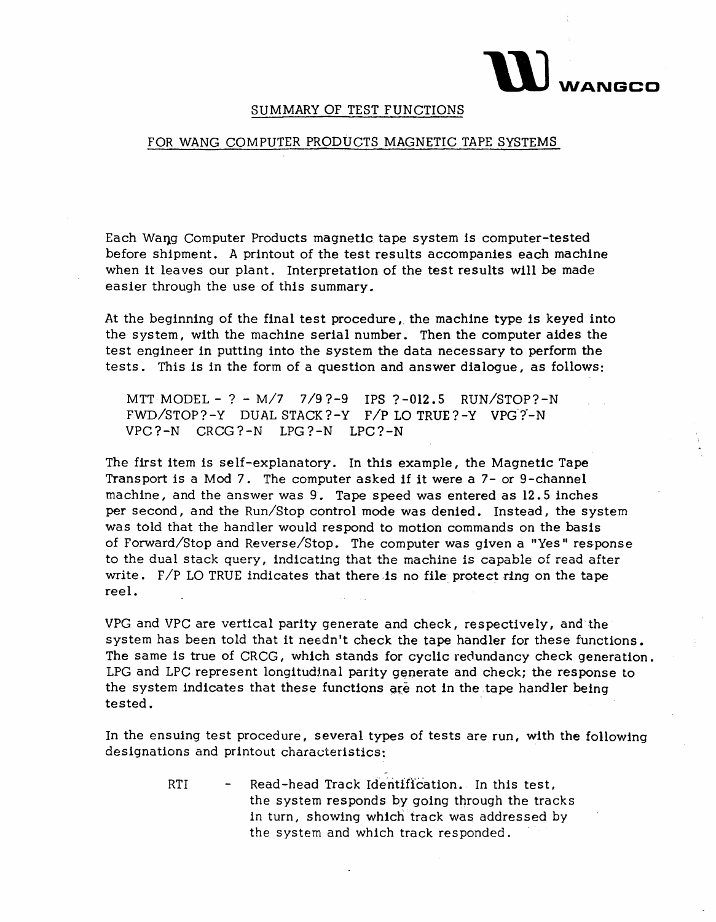

## SUMMARY OF TEST FUNCTIONS

## FOR WANG COMPUTER PRODUCTS MAGNETIC TAPE SYSTEMS

Each Waqg Computer Products magnetic tape system Is computer-tested before shipment. A printout of the test results accompanies each machine when it leaves our plant. Interpretation of the test results will be made easier through the use of this summary.

At the beginning of the final test procedure, the machine type is keyed into the system, with the machine serial number. Then the computer aides the test engineer in putting into the system the data necessary to perform the tests. This is in the form of a question and answer dialogue, as follows:

MTT MODEL - ? - M/7 7/9?-9 IPS ?-012.5 RUN/STOP?-N  $FWD/STOP? -Y$  DUAL STACK?-Y  $F/P$  LO TRUE?-Y VPG?-N VPC?-N CRCG?-N LPG?-N LPC?-N

The first item is self-explanatory. In this example, the Magnetic Tape Transport is a Mod 7. The computer asked if it were a 7- or 9-channel machine, and the answer was 9. Tape speed was entered as 12.5 inches per second, and the Run/Stop control mode was denied. Instead, the system was told that the handler would respond to motion commands on the basis of Forward/Stop and Reverse/Stop. The computer was given a "Yes" response to the dual stack query, indicating that the machine is capable of read after write.  $F/P$  LO TRUE indicates that there is no file protect ring on the tape reel.

VPG and VPC are vertical parity generate and check, respectively, and the system has been told that it needn't check the tape handler for these functions. The same is true of CRCG, which stands for cyclic redundancy check generation. LPG and LPC represent longitudinal parity generate and check; the response to the system indicates that these functions are not in the tape handler being tested. The contract of the contract of the contract of the contract of the contract of the contract of the contract of the contract of the contract of the contract of the contract of the contract of the contract of the co

In the ensuing test procedure, several types of tests are run, with the following designations and printout characteristics:

> RTI - Read-head Track Identification. In this test, the system responds by going through the tracks in turn, showing which track was addressed by the system and which track responded.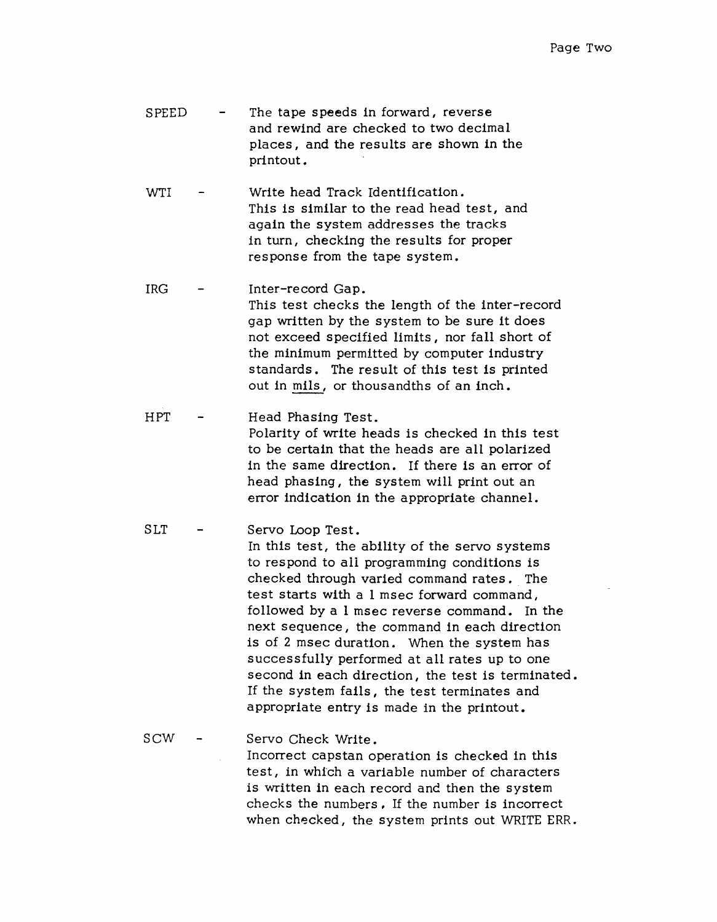- SPEED The tape speeds in forward, reverse and rewind are checked to two decimal places, and the results are shown in the printout.
- WTI Write head Track Identification. This is similar to the read head test, and again the system addresses the tracks in turn, checking the results for proper response from the tape system.
- IRG Inter-record Gap. This test checks the length of the inter-record gap written by the system to be sure it does not exceed specified limits, nor fall short of the minimum permitted by computer industry standards. The result of this test is printed out in mils, or thousandths of an inch.
- HPT Head Phasing Test. Polarity of write heads is checked in this test to be certain that the heads are all polarized in the same direction. If there is an error of head phasing, the system will print out an error indication In the appropriate channel.
- SLT Servo Loop Test. In this test, the ability of the servo systems to respond to all programming conditions is checked through varied command rates .. The test starts with a 1 msec forward command, followed by a 1 msec reverse command. In the next sequence, the command in each direction is of 2 msec duration. When the system has successfully performed at all rates up to one second in each direction, the test is terminated. If the system fails, the test terminates and appropriate entry is made in the printout.
- SCW Servo Check Write. Incorrect capstan operation is checked in this test, in whfch a variable number of characters is written in each record and then the system checks the numbers, If the number is incorrect when checked, the system prints out WRITE ERR.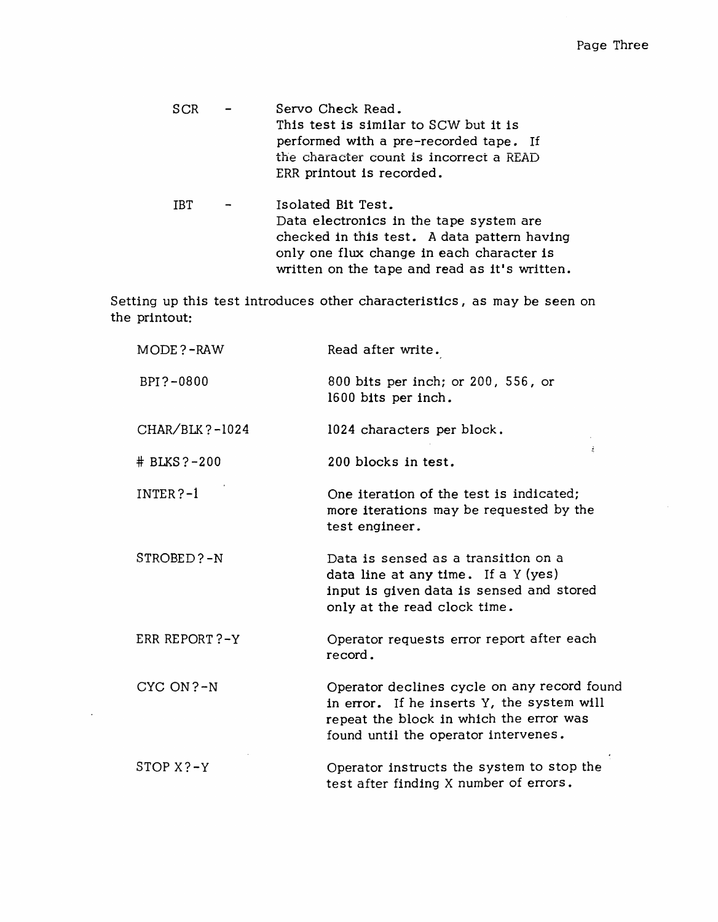| SCR | $\sim$ | Servo Check Read.                       |
|-----|--------|-----------------------------------------|
|     |        | This test is similar to SCW but it is   |
|     |        | performed with a pre-recorded tape. If  |
|     |        | the character count is incorrect a READ |
|     |        | ERR printout is recorded.               |
|     |        |                                         |

IBT Isolated Bit Test.  $\blacksquare$ Data electronics in the tape system are checked in this test. A data pattern having only one flux change in each character is written on the tape and read as it's written.

Setting up this test introduces other characteristics, as may be seen on the printout:

| MODE?-RAW           | Read after write.                                                                                                                                                            |
|---------------------|------------------------------------------------------------------------------------------------------------------------------------------------------------------------------|
| BPI?-0800           | 800 bits per inch; or 200, 556, or<br>1600 bits per inch.                                                                                                                    |
| $CHAR/BLK$ ?-1024   | 1024 characters per block.                                                                                                                                                   |
| $# B L K S ? - 200$ | ź.<br>200 blocks in test.                                                                                                                                                    |
| $INTER ? - 1$       | One iteration of the test is indicated;<br>more iterations may be requested by the<br>test engineer.                                                                         |
| STROBED?-N          | Data is sensed as a transition on a<br>data line at any time. If a $Y$ (yes)<br>input is given data is sensed and stored<br>only at the read clock time.                     |
| ERR REPORT?-Y       | Operator requests error report after each<br>record.                                                                                                                         |
| CYC ON?-N           | Operator declines cycle on any record found<br>in error. If he inserts Y, the system will<br>repeat the block in which the error was<br>found until the operator intervenes. |
| $STOP X ? - Y$      | Operator instructs the system to stop the<br>test after finding X number of errors.                                                                                          |